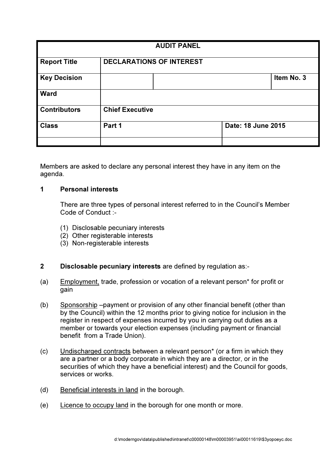| <b>AUDIT PANEL</b>  |                                 |  |                    |            |
|---------------------|---------------------------------|--|--------------------|------------|
| <b>Report Title</b> | <b>DECLARATIONS OF INTEREST</b> |  |                    |            |
| <b>Key Decision</b> |                                 |  |                    | Item No. 3 |
| <b>Ward</b>         |                                 |  |                    |            |
| <b>Contributors</b> | <b>Chief Executive</b>          |  |                    |            |
| <b>Class</b>        | Part 1                          |  | Date: 18 June 2015 |            |
|                     |                                 |  |                    |            |

Members are asked to declare any personal interest they have in any item on the agenda.

### 1 Personal interests

There are three types of personal interest referred to in the Council's Member Code of Conduct :-

- (1) Disclosable pecuniary interests
- (2) Other registerable interests
- (3) Non-registerable interests

# 2 Disclosable pecuniary interests are defined by regulation as:-

- (a) Employment, trade, profession or vocation of a relevant person\* for profit or gain
- (b) Sponsorship –payment or provision of any other financial benefit (other than by the Council) within the 12 months prior to giving notice for inclusion in the register in respect of expenses incurred by you in carrying out duties as a member or towards your election expenses (including payment or financial benefit from a Trade Union).
- (c) Undischarged contracts between a relevant person\* (or a firm in which they are a partner or a body corporate in which they are a director, or in the securities of which they have a beneficial interest) and the Council for goods, services or works.
- (d) Beneficial interests in land in the borough.
- (e) Licence to occupy land in the borough for one month or more.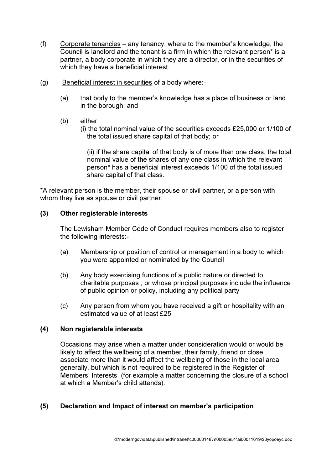- (f) Corporate tenancies any tenancy, where to the member's knowledge, the Council is landlord and the tenant is a firm in which the relevant person\* is a partner, a body corporate in which they are a director, or in the securities of which they have a beneficial interest.
- (g) Beneficial interest in securities of a body where:-
	- (a) that body to the member's knowledge has a place of business or land in the borough; and
	- (b) either
		- (i) the total nominal value of the securities exceeds £25,000 or 1/100 of the total issued share capital of that body; or

 (ii) if the share capital of that body is of more than one class, the total nominal value of the shares of any one class in which the relevant person\* has a beneficial interest exceeds 1/100 of the total issued share capital of that class.

\*A relevant person is the member, their spouse or civil partner, or a person with whom they live as spouse or civil partner.

## (3) Other registerable interests

The Lewisham Member Code of Conduct requires members also to register the following interests:-

- (a) Membership or position of control or management in a body to which you were appointed or nominated by the Council
- (b) Any body exercising functions of a public nature or directed to charitable purposes , or whose principal purposes include the influence of public opinion or policy, including any political party
- (c) Any person from whom you have received a gift or hospitality with an estimated value of at least £25

#### (4) Non registerable interests

Occasions may arise when a matter under consideration would or would be likely to affect the wellbeing of a member, their family, friend or close associate more than it would affect the wellbeing of those in the local area generally, but which is not required to be registered in the Register of Members' Interests (for example a matter concerning the closure of a school at which a Member's child attends).

## (5) Declaration and Impact of interest on member's participation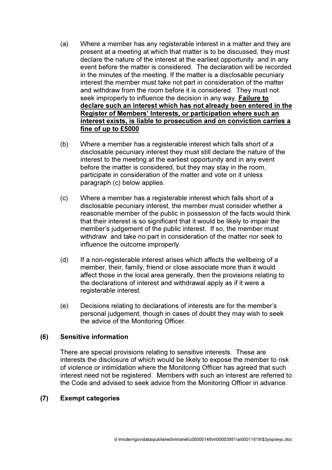- (a) Where a member has any registerable interest in a matter and they are present at a meeting at which that matter is to be discussed, they must declare the nature of the interest at the earliest opportunity and in any event before the matter is considered. The declaration will be recorded in the minutes of the meeting. If the matter is a disclosable pecuniary interest the member must take not part in consideration of the matter and withdraw from the room before it is considered. They must not seek improperly to influence the decision in any way. Failure to declare such an interest which has not already been entered in the Register of Members' Interests, or participation where such an interest exists, is liable to prosecution and on conviction carries a fine of up to £5000
- (b) Where a member has a registerable interest which falls short of a disclosable pecuniary interest they must still declare the nature of the interest to the meeting at the earliest opportunity and in any event before the matter is considered, but they may stay in the room, participate in consideration of the matter and vote on it unless paragraph (c) below applies.
- (c) Where a member has a registerable interest which falls short of a disclosable pecuniary interest, the member must consider whether a reasonable member of the public in possession of the facts would think that their interest is so significant that it would be likely to impair the member's judgement of the public interest. If so, the member must withdraw and take no part in consideration of the matter nor seek to influence the outcome improperly.
- (d) If a non-registerable interest arises which affects the wellbeing of a member, their, family, friend or close associate more than it would affect those in the local area generally, then the provisions relating to the declarations of interest and withdrawal apply as if it were a registerable interest.
- (e) Decisions relating to declarations of interests are for the member's personal judgement, though in cases of doubt they may wish to seek the advice of the Monitoring Officer.

## (6) Sensitive information

There are special provisions relating to sensitive interests. These are interests the disclosure of which would be likely to expose the member to risk of violence or intimidation where the Monitoring Officer has agreed that such interest need not be registered. Members with such an interest are referred to the Code and advised to seek advice from the Monitoring Officer in advance.

## (7) Exempt categories